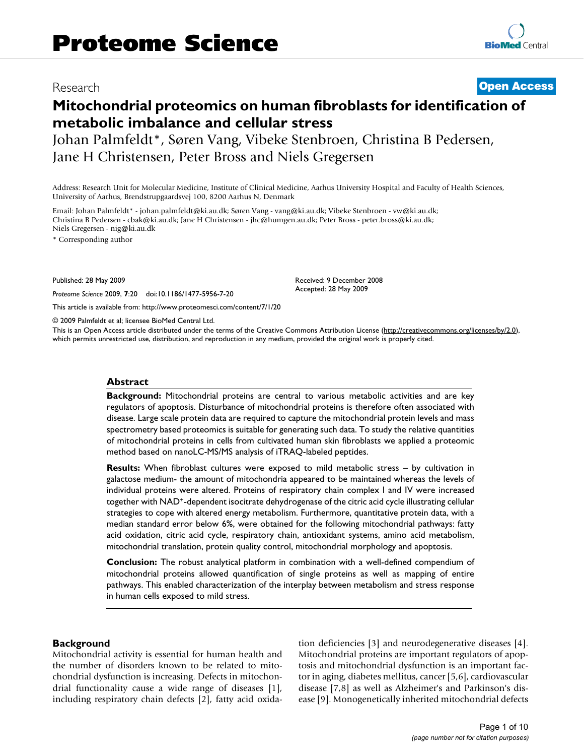## Research **[Open Access](http://www.biomedcentral.com/info/about/charter/)**

# **Mitochondrial proteomics on human fibroblasts for identification of metabolic imbalance and cellular stress**

Johan Palmfeldt\*, Søren Vang, Vibeke Stenbroen, Christina B Pedersen, Jane H Christensen, Peter Bross and Niels Gregersen

Address: Research Unit for Molecular Medicine, Institute of Clinical Medicine, Aarhus University Hospital and Faculty of Health Sciences, University of Aarhus, Brendstrupgaardsvej 100, 8200 Aarhus N, Denmark

Email: Johan Palmfeldt\* - johan.palmfeldt@ki.au.dk; Søren Vang - vang@ki.au.dk; Vibeke Stenbroen - vw@ki.au.dk; Christina B Pedersen - cbak@ki.au.dk; Jane H Christensen - jhc@humgen.au.dk; Peter Bross - peter.bross@ki.au.dk; Niels Gregersen - nig@ki.au.dk

\* Corresponding author

Published: 28 May 2009

*Proteome Science* 2009, **7**:20 doi:10.1186/1477-5956-7-20

[This article is available from: http://www.proteomesci.com/content/7/1/20](http://www.proteomesci.com/content/7/1/20)

© 2009 Palmfeldt et al; licensee BioMed Central Ltd.

This is an Open Access article distributed under the terms of the Creative Commons Attribution License [\(http://creativecommons.org/licenses/by/2.0\)](http://creativecommons.org/licenses/by/2.0), which permits unrestricted use, distribution, and reproduction in any medium, provided the original work is properly cited.

Received: 9 December 2008 Accepted: 28 May 2009

#### **Abstract**

**Background:** Mitochondrial proteins are central to various metabolic activities and are key regulators of apoptosis. Disturbance of mitochondrial proteins is therefore often associated with disease. Large scale protein data are required to capture the mitochondrial protein levels and mass spectrometry based proteomics is suitable for generating such data. To study the relative quantities of mitochondrial proteins in cells from cultivated human skin fibroblasts we applied a proteomic method based on nanoLC-MS/MS analysis of iTRAQ-labeled peptides.

**Results:** When fibroblast cultures were exposed to mild metabolic stress – by cultivation in galactose medium- the amount of mitochondria appeared to be maintained whereas the levels of individual proteins were altered. Proteins of respiratory chain complex I and IV were increased together with NAD+-dependent isocitrate dehydrogenase of the citric acid cycle illustrating cellular strategies to cope with altered energy metabolism. Furthermore, quantitative protein data, with a median standard error below 6%, were obtained for the following mitochondrial pathways: fatty acid oxidation, citric acid cycle, respiratory chain, antioxidant systems, amino acid metabolism, mitochondrial translation, protein quality control, mitochondrial morphology and apoptosis.

**Conclusion:** The robust analytical platform in combination with a well-defined compendium of mitochondrial proteins allowed quantification of single proteins as well as mapping of entire pathways. This enabled characterization of the interplay between metabolism and stress response in human cells exposed to mild stress.

#### **Background**

Mitochondrial activity is essential for human health and the number of disorders known to be related to mitochondrial dysfunction is increasing. Defects in mitochondrial functionality cause a wide range of diseases [[1](#page-8-0)], including respiratory chain defects [\[2](#page-8-1)], fatty acid oxidation deficiencies [\[3\]](#page-8-2) and neurodegenerative diseases [[4](#page-8-3)]. Mitochondrial proteins are important regulators of apoptosis and mitochondrial dysfunction is an important factor in aging, diabetes mellitus, cancer [[5](#page-8-4)[,6\]](#page-8-5), cardiovascular disease [[7](#page-8-6),[8](#page-8-7)] as well as Alzheimer's and Parkinson's disease [\[9](#page-8-8)]. Monogenetically inherited mitochondrial defects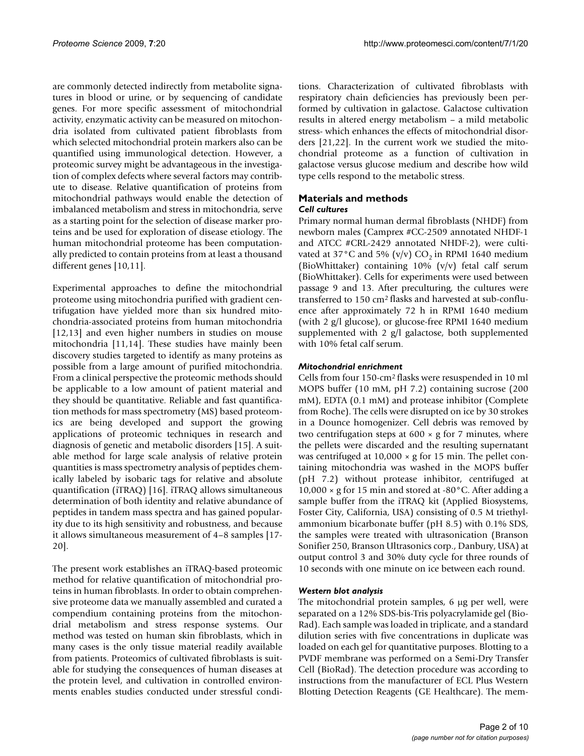are commonly detected indirectly from metabolite signatures in blood or urine, or by sequencing of candidate genes. For more specific assessment of mitochondrial activity, enzymatic activity can be measured on mitochondria isolated from cultivated patient fibroblasts from which selected mitochondrial protein markers also can be quantified using immunological detection. However, a proteomic survey might be advantageous in the investigation of complex defects where several factors may contribute to disease. Relative quantification of proteins from mitochondrial pathways would enable the detection of imbalanced metabolism and stress in mitochondria, serve as a starting point for the selection of disease marker proteins and be used for exploration of disease etiology. The human mitochondrial proteome has been computationally predicted to contain proteins from at least a thousand different genes [[10,](#page-8-9)[11\]](#page-8-10).

Experimental approaches to define the mitochondrial proteome using mitochondria purified with gradient centrifugation have yielded more than six hundred mitochondria-associated proteins from human mitochondria [[12](#page-8-11),[13\]](#page-8-12) and even higher numbers in studies on mouse mitochondria [\[11](#page-8-10)[,14](#page-8-13)]. These studies have mainly been discovery studies targeted to identify as many proteins as possible from a large amount of purified mitochondria. From a clinical perspective the proteomic methods should be applicable to a low amount of patient material and they should be quantitative. Reliable and fast quantification methods for mass spectrometry (MS) based proteomics are being developed and support the growing applications of proteomic techniques in research and diagnosis of genetic and metabolic disorders [\[15](#page-8-14)]. A suitable method for large scale analysis of relative protein quantities is mass spectrometry analysis of peptides chemically labeled by isobaric tags for relative and absolute quantification (iTRAQ) [\[16](#page-8-15)]. iTRAQ allows simultaneous determination of both identity and relative abundance of peptides in tandem mass spectra and has gained popularity due to its high sensitivity and robustness, and because it allows simultaneous measurement of 4–8 samples [\[17](#page-8-16)- [20\]](#page-9-0).

The present work establishes an iTRAQ-based proteomic method for relative quantification of mitochondrial proteins in human fibroblasts. In order to obtain comprehensive proteome data we manually assembled and curated a compendium containing proteins from the mitochondrial metabolism and stress response systems. Our method was tested on human skin fibroblasts, which in many cases is the only tissue material readily available from patients. Proteomics of cultivated fibroblasts is suitable for studying the consequences of human diseases at the protein level, and cultivation in controlled environments enables studies conducted under stressful conditions. Characterization of cultivated fibroblasts with respiratory chain deficiencies has previously been performed by cultivation in galactose. Galactose cultivation results in altered energy metabolism – a mild metabolic stress- which enhances the effects of mitochondrial disorders [[21](#page-9-1)[,22](#page-9-2)]. In the current work we studied the mitochondrial proteome as a function of cultivation in galactose versus glucose medium and describe how wild type cells respond to the metabolic stress.

#### **Materials and methods** *Cell cultures*

Primary normal human dermal fibroblasts (NHDF) from newborn males (Camprex *#*CC-2509 annotated NHDF-1 and ATCC #CRL-2429 annotated NHDF-2), were cultivated at 37°C and 5% (v/v)  $CO_2$  in RPMI 1640 medium (BioWhittaker) containing 10% (v/v) fetal calf serum (BioWhittaker). Cells for experiments were used between passage 9 and 13. After preculturing, the cultures were transferred to 150 cm2 flasks and harvested at sub-confluence after approximately 72 h in RPMI 1640 medium (with 2 g/l glucose), or glucose-free RPMI 1640 medium supplemented with 2 g/l galactose, both supplemented with 10% fetal calf serum.

### *Mitochondrial enrichment*

Cells from four 150-cm2 flasks were resuspended in 10 ml MOPS buffer (10 mM, pH 7.2) containing sucrose (200 mM), EDTA (0.1 mM) and protease inhibitor (Complete from Roche). The cells were disrupted on ice by 30 strokes in a Dounce homogenizer. Cell debris was removed by two centrifugation steps at  $600 \times g$  for 7 minutes, where the pellets were discarded and the resulting supernatant was centrifuged at  $10,000 \times g$  for 15 min. The pellet containing mitochondria was washed in the MOPS buffer (pH 7.2) without protease inhibitor, centrifuged at  $10,000 \times g$  for 15 min and stored at -80 $^{\circ}$ C. After adding a sample buffer from the iTRAQ kit (Applied Biosystems, Foster City, California, USA) consisting of 0.5 M triethylammonium bicarbonate buffer (pH 8.5) with 0.1% SDS, the samples were treated with ultrasonication (Branson Sonifier 250, Branson Ultrasonics corp., Danbury, USA) at output control 3 and 30% duty cycle for three rounds of 10 seconds with one minute on ice between each round.

## *Western blot analysis*

The mitochondrial protein samples, 6 μg per well, were separated on a 12% SDS-bis-Tris polyacrylamide gel (Bio-Rad). Each sample was loaded in triplicate, and a standard dilution series with five concentrations in duplicate was loaded on each gel for quantitative purposes. Blotting to a PVDF membrane was performed on a Semi-Dry Transfer Cell (BioRad). The detection procedure was according to instructions from the manufacturer of ECL Plus Western Blotting Detection Reagents (GE Healthcare). The mem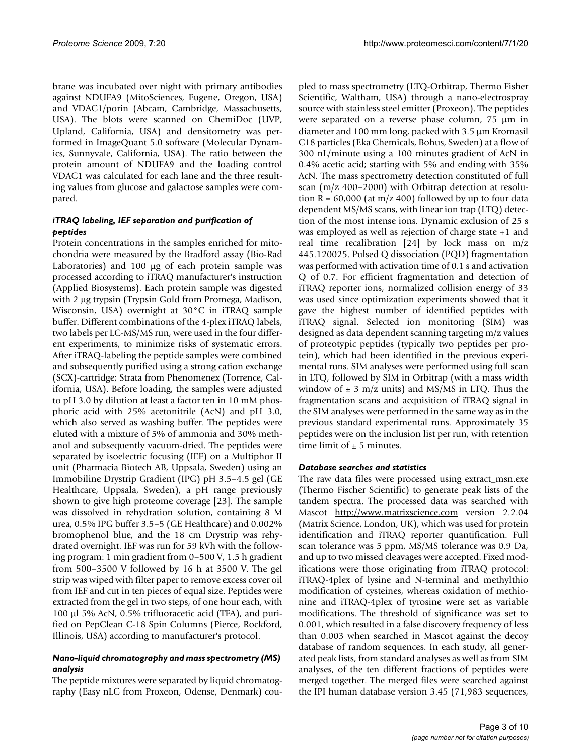brane was incubated over night with primary antibodies against NDUFA9 (MitoSciences, Eugene, Oregon, USA) and VDAC1/porin (Abcam, Cambridge, Massachusetts, USA). The blots were scanned on ChemiDoc (UVP, Upland, California, USA) and densitometry was performed in ImageQuant 5.0 software (Molecular Dynamics, Sunnyvale, California, USA). The ratio between the protein amount of NDUFA9 and the loading control VDAC1 was calculated for each lane and the three resulting values from glucose and galactose samples were compared.

## *iTRAQ labeling, IEF separation and purification of peptides*

Protein concentrations in the samples enriched for mitochondria were measured by the Bradford assay (Bio-Rad Laboratories) and 100 μg of each protein sample was processed according to iTRAQ manufacturer's instruction (Applied Biosystems). Each protein sample was digested with 2 μg trypsin (Trypsin Gold from Promega, Madison, Wisconsin, USA) overnight at 30°C in iTRAQ sample buffer. Different combinations of the 4-plex iTRAQ labels, two labels per LC-MS/MS run, were used in the four different experiments, to minimize risks of systematic errors. After iTRAQ-labeling the peptide samples were combined and subsequently purified using a strong cation exchange (SCX)-cartridge; Strata from Phenomenex (Torrence, California, USA). Before loading, the samples were adjusted to pH 3.0 by dilution at least a factor ten in 10 mM phosphoric acid with 25% acetonitrile (AcN) and pH 3.0, which also served as washing buffer. The peptides were eluted with a mixture of 5% of ammonia and 30% methanol and subsequently vacuum-dried. The peptides were separated by isoelectric focusing (IEF) on a Multiphor II unit (Pharmacia Biotech AB, Uppsala, Sweden) using an Immobiline Drystrip Gradient (IPG) pH 3.5–4.5 gel (GE Healthcare, Uppsala, Sweden), a pH range previously shown to give high proteome coverage [\[23](#page-9-3)]. The sample was dissolved in rehydration solution, containing 8 M urea, 0.5% IPG buffer 3.5–5 (GE Healthcare) and 0.002% bromophenol blue, and the 18 cm Drystrip was rehydrated overnight. IEF was run for 59 kVh with the following program: 1 min gradient from 0–500 V, 1.5 h gradient from 500–3500 V followed by 16 h at 3500 V. The gel strip was wiped with filter paper to remove excess cover oil from IEF and cut in ten pieces of equal size. Peptides were extracted from the gel in two steps, of one hour each, with 100 μl 5% AcN, 0.5% trifluoracetic acid (TFA), and purified on PepClean C-18 Spin Columns (Pierce, Rockford, Illinois, USA) according to manufacturer's protocol.

## *Nano-liquid chromatography and mass spectrometry (MS) analysis*

The peptide mixtures were separated by liquid chromatography (Easy nLC from Proxeon, Odense, Denmark) coupled to mass spectrometry (LTQ-Orbitrap, Thermo Fisher Scientific, Waltham, USA) through a nano-electrospray source with stainless steel emitter (Proxeon). The peptides were separated on a reverse phase column, 75 μm in diameter and 100 mm long, packed with 3.5 μm Kromasil C18 particles (Eka Chemicals, Bohus, Sweden) at a flow of 300 nL/minute using a 100 minutes gradient of AcN in 0.4% acetic acid; starting with 5% and ending with 35% AcN. The mass spectrometry detection constituted of full scan (m/z 400–2000) with Orbitrap detection at resolution  $R = 60,000$  (at m/z 400) followed by up to four data dependent MS/MS scans, with linear ion trap (LTQ) detection of the most intense ions. Dynamic exclusion of 25 s was employed as well as rejection of charge state +1 and real time recalibration [\[24](#page-9-4)] by lock mass on m/z 445.120025. Pulsed Q dissociation (PQD) fragmentation was performed with activation time of 0.1 s and activation Q of 0.7. For efficient fragmentation and detection of iTRAQ reporter ions, normalized collision energy of 33 was used since optimization experiments showed that it gave the highest number of identified peptides with iTRAQ signal. Selected ion monitoring (SIM) was designed as data dependent scanning targeting m/z values of proteotypic peptides (typically two peptides per protein), which had been identified in the previous experimental runs. SIM analyses were performed using full scan in LTQ, followed by SIM in Orbitrap (with a mass width window of  $\pm$  3 m/z units) and MS/MS in LTQ. Thus the fragmentation scans and acquisition of iTRAQ signal in the SIM analyses were performed in the same way as in the previous standard experimental runs. Approximately 35 peptides were on the inclusion list per run, with retention time limit of  $\pm$  5 minutes.

#### *Database searches and statistics*

The raw data files were processed using extract\_msn.exe (Thermo Fischer Scientific) to generate peak lists of the tandem spectra. The processed data was searched with Mascot <http://www.matrixscience.com> version 2.2.04 (Matrix Science, London, UK), which was used for protein identification and iTRAQ reporter quantification. Full scan tolerance was 5 ppm, MS/MS tolerance was 0.9 Da, and up to two missed cleavages were accepted. Fixed modifications were those originating from iTRAQ protocol: iTRAQ-4plex of lysine and N-terminal and methylthio modification of cysteines, whereas oxidation of methionine and iTRAQ-4plex of tyrosine were set as variable modifications. The threshold of significance was set to 0.001, which resulted in a false discovery frequency of less than 0.003 when searched in Mascot against the decoy database of random sequences. In each study, all generated peak lists, from standard analyses as well as from SIM analyses, of the ten different fractions of peptides were merged together. The merged files were searched against the IPI human database version 3.45 (71,983 sequences,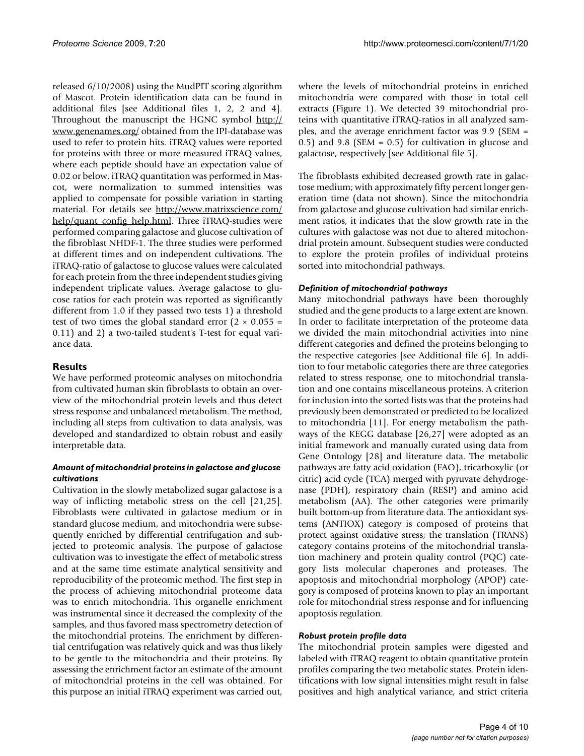released 6/10/2008) using the MudPIT scoring algorithm of Mascot. Protein identification data can be found in additional files [see Additional files [1](#page-7-0), [2](#page-7-1), [2](#page-7-1) and [4](#page-7-2)]. Throughout the manuscript the HGNC symbol [http://](http://www.genenames.org/) [www.genenames.org/](http://www.genenames.org/) obtained from the IPI-database was used to refer to protein hits. iTRAQ values were reported for proteins with three or more measured iTRAQ values, where each peptide should have an expectation value of 0.02 or below. iTRAQ quantitation was performed in Mascot, were normalization to summed intensities was applied to compensate for possible variation in starting material. For details see [http://www.matrixscience.com/](http://www.matrixscience.com/help/quant_config_help.html) [help/quant\\_config\\_help.html.](http://www.matrixscience.com/help/quant_config_help.html) Three iTRAQ-studies were performed comparing galactose and glucose cultivation of the fibroblast NHDF-1. The three studies were performed at different times and on independent cultivations. The iTRAQ-ratio of galactose to glucose values were calculated for each protein from the three independent studies giving independent triplicate values. Average galactose to glucose ratios for each protein was reported as significantly different from 1.0 if they passed two tests 1) a threshold test of two times the global standard error  $(2 \times 0.055 =$ 0.11) and 2) a two-tailed student's T-test for equal variance data.

## **Results**

We have performed proteomic analyses on mitochondria from cultivated human skin fibroblasts to obtain an overview of the mitochondrial protein levels and thus detect stress response and unbalanced metabolism. The method, including all steps from cultivation to data analysis, was developed and standardized to obtain robust and easily interpretable data.

## *Amount of mitochondrial proteins in galactose and glucose cultivations*

Cultivation in the slowly metabolized sugar galactose is a way of inflicting metabolic stress on the cell [[21](#page-9-1)[,25](#page-9-5)]. Fibroblasts were cultivated in galactose medium or in standard glucose medium, and mitochondria were subsequently enriched by differential centrifugation and subjected to proteomic analysis. The purpose of galactose cultivation was to investigate the effect of metabolic stress and at the same time estimate analytical sensitivity and reproducibility of the proteomic method. The first step in the process of achieving mitochondrial proteome data was to enrich mitochondria. This organelle enrichment was instrumental since it decreased the complexity of the samples, and thus favored mass spectrometry detection of the mitochondrial proteins. The enrichment by differential centrifugation was relatively quick and was thus likely to be gentle to the mitochondria and their proteins. By assessing the enrichment factor an estimate of the amount of mitochondrial proteins in the cell was obtained. For this purpose an initial iTRAQ experiment was carried out,

where the levels of mitochondrial proteins in enriched mitochondria were compared with those in total cell extracts (Figure [1](#page-4-0)). We detected 39 mitochondrial proteins with quantitative iTRAQ-ratios in all analyzed samples, and the average enrichment factor was 9.9 (SEM = 0.5) and 9.8 (SEM =  $0.5$ ) for cultivation in glucose and galactose, respectively [see Additional file [5\]](#page-8-17).

The fibroblasts exhibited decreased growth rate in galactose medium; with approximately fifty percent longer generation time (data not shown). Since the mitochondria from galactose and glucose cultivation had similar enrichment ratios, it indicates that the slow growth rate in the cultures with galactose was not due to altered mitochondrial protein amount. Subsequent studies were conducted to explore the protein profiles of individual proteins sorted into mitochondrial pathways.

## *Definition of mitochondrial pathways*

Many mitochondrial pathways have been thoroughly studied and the gene products to a large extent are known. In order to facilitate interpretation of the proteome data we divided the main mitochondrial activities into nine different categories and defined the proteins belonging to the respective categories [see Additional file [6](#page-8-18)]. In addition to four metabolic categories there are three categories related to stress response, one to mitochondrial translation and one contains miscellaneous proteins. A criterion for inclusion into the sorted lists was that the proteins had previously been demonstrated or predicted to be localized to mitochondria [[11\]](#page-8-10). For energy metabolism the pathways of the KEGG database [\[26](#page-9-6)[,27](#page-9-7)] were adopted as an initial framework and manually curated using data from Gene Ontology [[28\]](#page-9-8) and literature data. The metabolic pathways are fatty acid oxidation (FAO), tricarboxylic (or citric) acid cycle (TCA) merged with pyruvate dehydrogenase (PDH), respiratory chain (RESP) and amino acid metabolism (AA). The other categories were primarily built bottom-up from literature data. The antioxidant systems (ANTIOX) category is composed of proteins that protect against oxidative stress; the translation (TRANS) category contains proteins of the mitochondrial translation machinery and protein quality control (PQC) category lists molecular chaperones and proteases. The apoptosis and mitochondrial morphology (APOP) category is composed of proteins known to play an important role for mitochondrial stress response and for influencing apoptosis regulation.

## *Robust protein profile data*

The mitochondrial protein samples were digested and labeled with iTRAQ reagent to obtain quantitative protein profiles comparing the two metabolic states. Protein identifications with low signal intensities might result in false positives and high analytical variance, and strict criteria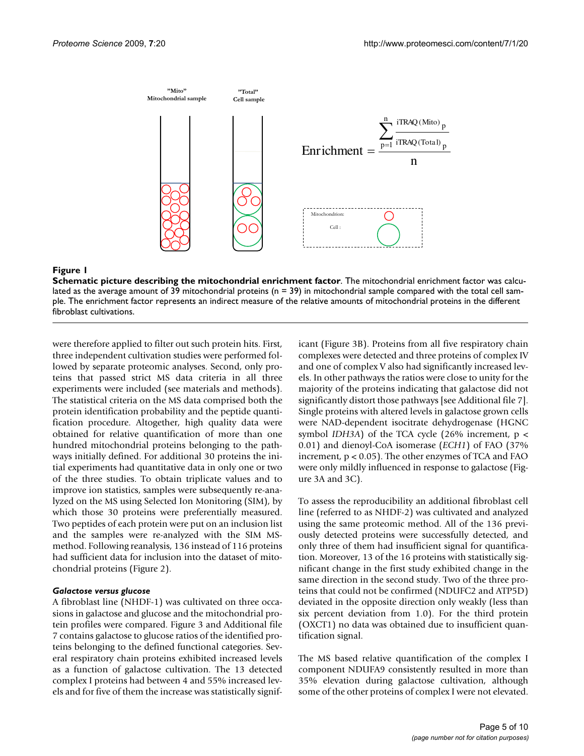<span id="page-4-0"></span>

#### **Figure 1**

**Schematic picture describing the mitochondrial enrichment factor**. The mitochondrial enrichment factor was calculated as the average amount of 39 mitochondrial proteins ( $n = 39$ ) in mitochondrial sample compared with the total cell sample. The enrichment factor represents an indirect measure of the relative amounts of mitochondrial proteins in the different fibroblast cultivations.

were therefore applied to filter out such protein hits. First, three independent cultivation studies were performed followed by separate proteomic analyses. Second, only proteins that passed strict MS data criteria in all three experiments were included (see materials and methods). The statistical criteria on the MS data comprised both the protein identification probability and the peptide quantification procedure. Altogether, high quality data were obtained for relative quantification of more than one hundred mitochondrial proteins belonging to the pathways initially defined. For additional 30 proteins the initial experiments had quantitative data in only one or two of the three studies. To obtain triplicate values and to improve ion statistics, samples were subsequently re-analyzed on the MS using Selected Ion Monitoring (SIM), by which those 30 proteins were preferentially measured. Two peptides of each protein were put on an inclusion list and the samples were re-analyzed with the SIM MSmethod. Following reanalysis, 136 instead of 116 proteins had sufficient data for inclusion into the dataset of mitochondrial proteins (Figure [2](#page-5-0)).

#### *Galactose versus glucose*

A fibroblast line (NHDF-1) was cultivated on three occasions in galactose and glucose and the mitochondrial protein profiles were compared. Figure [3](#page-6-0) and Additional file [7](#page-8-19) contains galactose to glucose ratios of the identified proteins belonging to the defined functional categories. Several respiratory chain proteins exhibited increased levels as a function of galactose cultivation. The 13 detected complex I proteins had between 4 and 55% increased levels and for five of them the increase was statistically significant (Figure [3B](#page-6-0)). Proteins from all five respiratory chain complexes were detected and three proteins of complex IV and one of complex V also had significantly increased levels. In other pathways the ratios were close to unity for the majority of the proteins indicating that galactose did not significantly distort those pathways [see Additional file [7](#page-8-19)]. Single proteins with altered levels in galactose grown cells were NAD-dependent isocitrate dehydrogenase (HGNC symbol *IDH3A*) of the TCA cycle  $(26\%$  increment,  $p <$ 0.01) and dienoyl-CoA isomerase (*ECH1*) of FAO (37% increment, p < 0.05). The other enzymes of TCA and FAO were only mildly influenced in response to galactose (Figure [3A](#page-6-0) and [3](#page-6-0)C).

To assess the reproducibility an additional fibroblast cell line (referred to as NHDF-2) was cultivated and analyzed using the same proteomic method. All of the 136 previously detected proteins were successfully detected, and only three of them had insufficient signal for quantification. Moreover, 13 of the 16 proteins with statistically significant change in the first study exhibited change in the same direction in the second study. Two of the three proteins that could not be confirmed (NDUFC2 and ATP5D) deviated in the opposite direction only weakly (less than six percent deviation from 1.0). For the third protein (OXCT1) no data was obtained due to insufficient quantification signal.

The MS based relative quantification of the complex I component NDUFA9 consistently resulted in more than 35% elevation during galactose cultivation, although some of the other proteins of complex I were not elevated.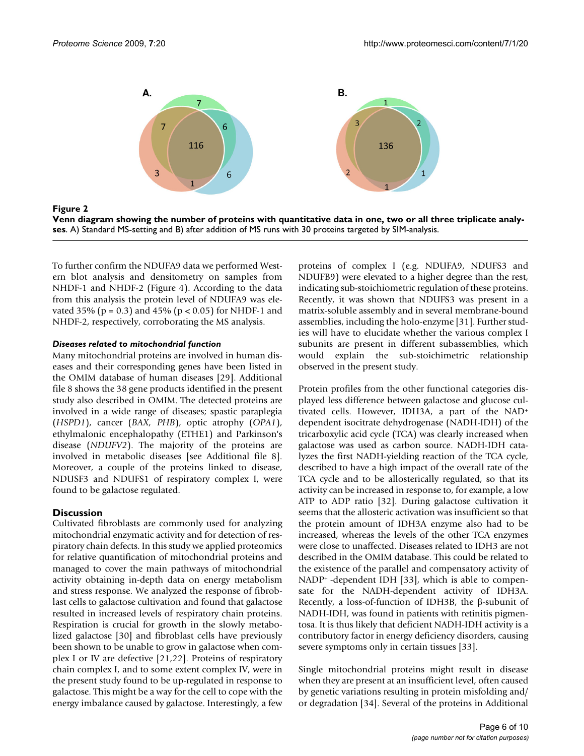<span id="page-5-0"></span>

**Venn diagram showing the number of proteins with quantitative data in one, two or all three triplicate analyses**. A) Standard MS-setting and B) after addition of MS runs with 30 proteins targeted by SIM-analysis.

To further confirm the NDUFA9 data we performed Western blot analysis and densitometry on samples from NHDF-1 and NHDF-2 (Figure [4](#page-7-3)). According to the data from this analysis the protein level of NDUFA9 was elevated 35% ( $p = 0.3$ ) and 45% ( $p < 0.05$ ) for NHDF-1 and NHDF-2, respectively, corroborating the MS analysis.

#### *Diseases related to mitochondrial function*

Many mitochondrial proteins are involved in human diseases and their corresponding genes have been listed in the OMIM database of human diseases [[29\]](#page-9-9). Additional file [8](#page-8-20) shows the 38 gene products identified in the present study also described in OMIM. The detected proteins are involved in a wide range of diseases; spastic paraplegia (*HSPD1*), cancer (*BAX, PHB*), optic atrophy (*OPA1*), ethylmalonic encephalopathy (ETHE1) and Parkinson's disease (*NDUFV2*). The majority of the proteins are involved in metabolic diseases [see Additional file [8](#page-8-20)]. Moreover, a couple of the proteins linked to disease, NDUSF3 and NDUFS1 of respiratory complex I, were found to be galactose regulated.

## **Discussion**

Cultivated fibroblasts are commonly used for analyzing mitochondrial enzymatic activity and for detection of respiratory chain defects. In this study we applied proteomics for relative quantification of mitochondrial proteins and managed to cover the main pathways of mitochondrial activity obtaining in-depth data on energy metabolism and stress response. We analyzed the response of fibroblast cells to galactose cultivation and found that galactose resulted in increased levels of respiratory chain proteins. Respiration is crucial for growth in the slowly metabolized galactose [[30](#page-9-10)] and fibroblast cells have previously been shown to be unable to grow in galactose when complex I or IV are defective [\[21](#page-9-1),[22\]](#page-9-2). Proteins of respiratory chain complex I, and to some extent complex IV, were in the present study found to be up-regulated in response to galactose. This might be a way for the cell to cope with the energy imbalance caused by galactose. Interestingly, a few

proteins of complex I (e.g. NDUFA9, NDUFS3 and NDUFB9) were elevated to a higher degree than the rest, indicating sub-stoichiometric regulation of these proteins. Recently, it was shown that NDUFS3 was present in a matrix-soluble assembly and in several membrane-bound assemblies, including the holo-enzyme [\[31](#page-9-11)]. Further studies will have to elucidate whether the various complex I subunits are present in different subassemblies, which would explain the sub-stoichimetric relationship observed in the present study.

Protein profiles from the other functional categories displayed less difference between galactose and glucose cultivated cells. However, IDH3A, a part of the NAD+ dependent isocitrate dehydrogenase (NADH-IDH) of the tricarboxylic acid cycle (TCA) was clearly increased when galactose was used as carbon source. NADH-IDH catalyzes the first NADH-yielding reaction of the TCA cycle, described to have a high impact of the overall rate of the TCA cycle and to be allosterically regulated, so that its activity can be increased in response to, for example, a low ATP to ADP ratio [[32](#page-9-12)]. During galactose cultivation it seems that the allosteric activation was insufficient so that the protein amount of IDH3A enzyme also had to be increased, whereas the levels of the other TCA enzymes were close to unaffected. Diseases related to IDH3 are not described in the OMIM database. This could be related to the existence of the parallel and compensatory activity of NADP+ -dependent IDH [\[33](#page-9-13)], which is able to compensate for the NADH-dependent activity of IDH3A. Recently, a loss-of-function of IDH3B, the β-subunit of NADH-IDH, was found in patients with retinitis pigmentosa. It is thus likely that deficient NADH-IDH activity is a contributory factor in energy deficiency disorders, causing severe symptoms only in certain tissues [\[33](#page-9-13)].

Single mitochondrial proteins might result in disease when they are present at an insufficient level, often caused by genetic variations resulting in protein misfolding and/ or degradation [\[34](#page-9-14)]. Several of the proteins in Additional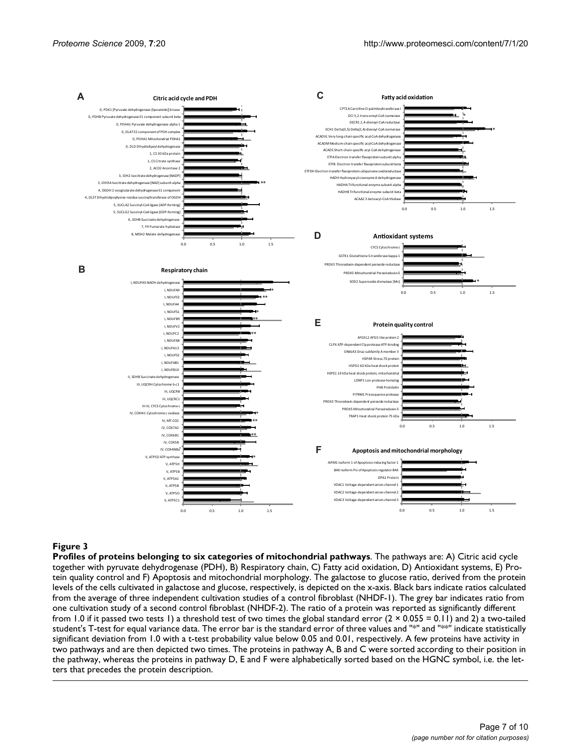<span id="page-6-0"></span>

#### **Figure 3**

**Profiles of proteins belonging to six categories of mitochondrial pathways**. The pathways are: A) Citric acid cycle together with pyruvate dehydrogenase (PDH), B) Respiratory chain, C) Fatty acid oxidation, D) Antioxidant systems, E) Protein quality control and F) Apoptosis and mitochondrial morphology. The galactose to glucose ratio, derived from the protein levels of the cells cultivated in galactose and glucose, respectively, is depicted on the x-axis. Black bars indicate ratios calculated from the average of three independent cultivation studies of a control fibroblast (NHDF-1). The grey bar indicates ratio from one cultivation study of a second control fibroblast (NHDF-2). The ratio of a protein was reported as significantly different from 1.0 if it passed two tests 1) a threshold test of two times the global standard error  $(2 \times 0.055 = 0.11)$  and 2) a two-tailed student's T-test for equal variance data. The error bar is the standard error of three values and "\*" and "\*" indicate statistically significant deviation from 1.0 with a t-test probability value below 0.05 and 0.01, respectively. A few proteins have activity in two pathways and are then depicted two times. The proteins in pathway A, B and C were sorted according to their position in the pathway, whereas the proteins in pathway D, E and F were alphabetically sorted based on the HGNC symbol, i.e. the letters that precedes the protein description.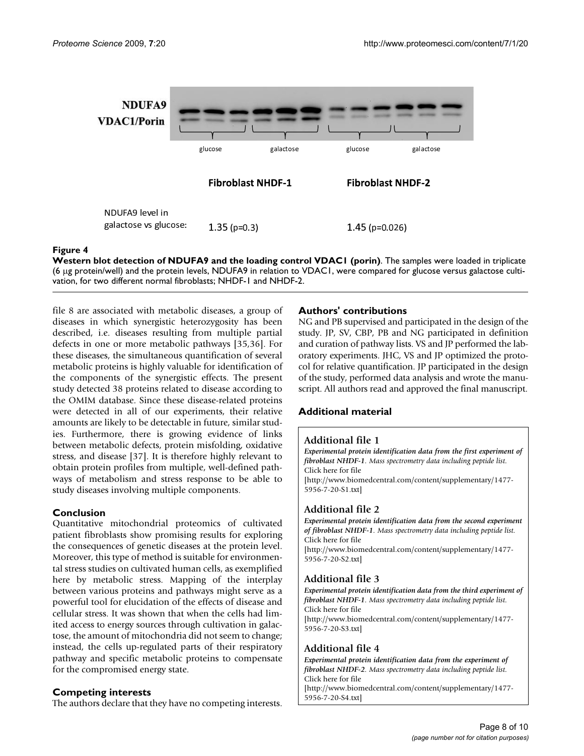<span id="page-7-3"></span>

#### Figure 4

**Western blot detection of NDUFA9 and the loading control VDAC1 (porin)**. The samples were loaded in triplicate (6 μg protein/well) and the protein levels, NDUFA9 in relation to VDAC1, were compared for glucose versus galactose cultivation, for two different normal fibroblasts; NHDF-1 and NHDF-2.

file [8](#page-8-20) are associated with metabolic diseases, a group of diseases in which synergistic heterozygosity has been described, i.e. diseases resulting from multiple partial defects in one or more metabolic pathways [[35](#page-9-15),[36\]](#page-9-16). For these diseases, the simultaneous quantification of several metabolic proteins is highly valuable for identification of the components of the synergistic effects. The present study detected 38 proteins related to disease according to the OMIM database. Since these disease-related proteins were detected in all of our experiments, their relative amounts are likely to be detectable in future, similar studies. Furthermore, there is growing evidence of links between metabolic defects, protein misfolding, oxidative stress, and disease [\[37](#page-9-17)]. It is therefore highly relevant to obtain protein profiles from multiple, well-defined pathways of metabolism and stress response to be able to study diseases involving multiple components.

## **Conclusion**

Quantitative mitochondrial proteomics of cultivated patient fibroblasts show promising results for exploring the consequences of genetic diseases at the protein level. Moreover, this type of method is suitable for environmental stress studies on cultivated human cells, as exemplified here by metabolic stress. Mapping of the interplay between various proteins and pathways might serve as a powerful tool for elucidation of the effects of disease and cellular stress. It was shown that when the cells had limited access to energy sources through cultivation in galactose, the amount of mitochondria did not seem to change; instead, the cells up-regulated parts of their respiratory pathway and specific metabolic proteins to compensate for the compromised energy state.

## **Competing interests**

The authors declare that they have no competing interests.

## **Authors' contributions**

NG and PB supervised and participated in the design of the study. JP, SV, CBP, PB and NG participated in definition and curation of pathway lists. VS and JP performed the laboratory experiments. JHC, VS and JP optimized the protocol for relative quantification. JP participated in the design of the study, performed data analysis and wrote the manuscript. All authors read and approved the final manuscript.

## **Additional material**

#### <span id="page-7-0"></span>**Additional file 1**

*Experimental protein identification data from the first experiment of fibroblast NHDF-1. Mass spectrometry data including peptide list.* Click here for file [\[http://www.biomedcentral.com/content/supplementary/1477-](http://www.biomedcentral.com/content/supplementary/1477-5956-7-20-S1.txt) 5956-7-20-S1.txt]

## <span id="page-7-1"></span>**Additional file 2**

*Experimental protein identification data from the second experiment of fibroblast NHDF-1. Mass spectrometry data including peptide list.* Click here for file [\[http://www.biomedcentral.com/content/supplementary/1477-](http://www.biomedcentral.com/content/supplementary/1477-5956-7-20-S2.txt) 5956-7-20-S2.txt]

## **Additional file 3**

*Experimental protein identification data from the third experiment of fibroblast NHDF-1. Mass spectrometry data including peptide list.* Click here for file [\[http://www.biomedcentral.com/content/supplementary/1477-](http://www.biomedcentral.com/content/supplementary/1477-5956-7-20-S3.txt) 5956-7-20-S3.txt]

## <span id="page-7-2"></span>**Additional file 4**

*Experimental protein identification data from the experiment of fibroblast NHDF-2. Mass spectrometry data including peptide list.* Click here for file [\[http://www.biomedcentral.com/content/supplementary/1477-](http://www.biomedcentral.com/content/supplementary/1477-5956-7-20-S4.txt) 5956-7-20-S4.txt]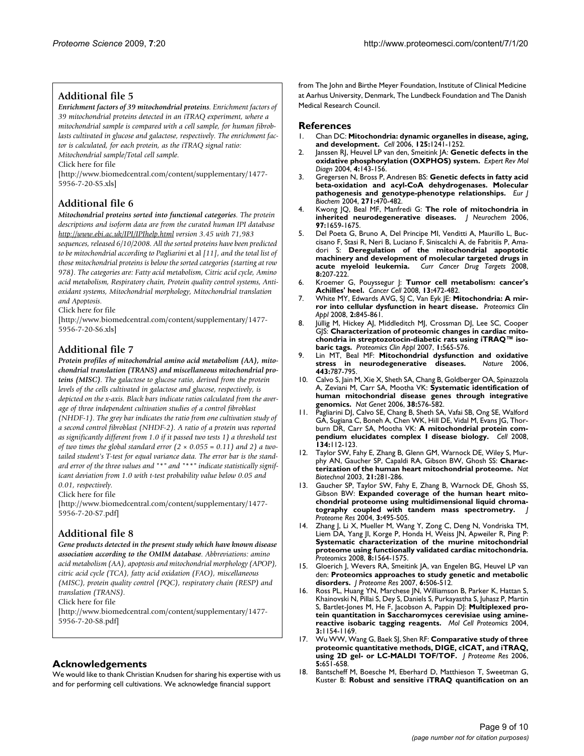## <span id="page-8-17"></span>**Additional file 5**

*Enrichment factors of 39 mitochondrial proteins. Enrichment factors of 39 mitochondrial proteins detected in an iTRAQ experiment, where a mitochondrial sample is compared with a cell sample, for human fibroblasts cultivated in glucose and galactose, respectively. The enrichment factor is calculated, for each protein, as the iTRAQ signal ratio:* 

*Mitochondrial sample/Total cell sample.* Click here for file

[\[http://www.biomedcentral.com/content/supplementary/1477-](http://www.biomedcentral.com/content/supplementary/1477-5956-7-20-S5.xls) 5956-7-20-S5.xls]

## <span id="page-8-18"></span>**Additional file 6**

*Mitochondrial proteins sorted into functional categories. The protein descriptions and isoform data are from the curated human IPI database <http://www.ebi.ac.uk/IPI/IPIhelp.html> version 3.45 with 71,983* 

*sequences, released 6/10/2008. All the sorted proteins have been predicted to be mitochondrial according to Pagliarini* et al *[\[11\]](#page-8-10), and the total list of those mitochondrial proteins is below the sorted categories (starting at row 978). The categories are: Fatty acid metabolism, Citric acid cycle, Amino acid metabolism, Respiratory chain, Protein quality control systems, Antioxidant systems, Mitochondrial morphology, Mitochondrial translation and Apoptosis.*

Click here for file

[\[http://www.biomedcentral.com/content/supplementary/1477-](http://www.biomedcentral.com/content/supplementary/1477-5956-7-20-S6.xls) 5956-7-20-S6.xls]

## <span id="page-8-19"></span>**Additional file 7**

*Protein profiles of mitochondrial amino acid metabolism (AA), mitochondrial translation (TRANS) and miscellaneous mitochondrial proteins (MISC). The galactose to glucose ratio, derived from the protein levels of the cells cultivated in galactose and glucose, respectively, is depicted on the x-axis. Black bars indicate ratios calculated from the average of three independent cultivation studies of a control fibroblast (NHDF-1). The grey bar indicates the ratio from one cultivation study of a second control fibroblast (NHDF-2). A ratio of a protein was reported as significantly different from 1.0 if it passed two tests 1) a threshold test of two times the global standard error (2 × 0.055 = 0.11) and 2) a twotailed student's T-test for equal variance data. The error bar is the standard error of the three values and "\*" and "\*\*" indicate statistically significant deviation from 1.0 with t-test probability value below 0.05 and 0.01, respectively.*

Click here for file

[\[http://www.biomedcentral.com/content/supplementary/1477-](http://www.biomedcentral.com/content/supplementary/1477-5956-7-20-S7.pdf) 5956-7-20-S7.pdf]

## <span id="page-8-20"></span>**Additional file 8**

*Gene products detected in the present study which have known disease association according to the OMIM database. Abbreviations: amino acid metabolism (AA), apoptosis and mitochondrial morphology (APOP), citric acid cycle (TCA), fatty acid oxidation (FAO), miscellaneous (MISC), protein quality control (PQC), respiratory chain (RESP) and translation (TRANS).*

Click here for file

[\[http://www.biomedcentral.com/content/supplementary/1477-](http://www.biomedcentral.com/content/supplementary/1477-5956-7-20-S8.pdf) 5956-7-20-S8.pdf]

## **Acknowledgements**

We would like to thank Christian Knudsen for sharing his expertise with us and for performing cell cultivations. We acknowledge financial support

from The John and Birthe Meyer Foundation, Institute of Clinical Medicine at Aarhus University, Denmark, The Lundbeck Foundation and The Danish Medical Research Council.

### **References**

- <span id="page-8-0"></span>1. Chan DC: **[Mitochondria: dynamic organelles in disease, aging,](http://www.ncbi.nlm.nih.gov/entrez/query.fcgi?cmd=Retrieve&db=PubMed&dopt=Abstract&list_uids=16814712) [and development.](http://www.ncbi.nlm.nih.gov/entrez/query.fcgi?cmd=Retrieve&db=PubMed&dopt=Abstract&list_uids=16814712)** *Cell* 2006, **125:**1241-1252.
- <span id="page-8-1"></span>2. Janssen RJ, Heuvel LP van den, Smeitink JA: **[Genetic defects in the](http://www.ncbi.nlm.nih.gov/entrez/query.fcgi?cmd=Retrieve&db=PubMed&dopt=Abstract&list_uids=14995902) [oxidative phosphorylation \(OXPHOS\) system.](http://www.ncbi.nlm.nih.gov/entrez/query.fcgi?cmd=Retrieve&db=PubMed&dopt=Abstract&list_uids=14995902)** *Expert Rev Mol Diagn* 2004, **4:**143-156.
- <span id="page-8-2"></span>3. Gregersen N, Bross P, Andresen BS: **[Genetic defects in fatty acid](http://www.ncbi.nlm.nih.gov/entrez/query.fcgi?cmd=Retrieve&db=PubMed&dopt=Abstract&list_uids=14728674) [beta-oxidation and acyl-CoA dehydrogenases. Molecular](http://www.ncbi.nlm.nih.gov/entrez/query.fcgi?cmd=Retrieve&db=PubMed&dopt=Abstract&list_uids=14728674) [pathogenesis and genotype-phenotype relationships.](http://www.ncbi.nlm.nih.gov/entrez/query.fcgi?cmd=Retrieve&db=PubMed&dopt=Abstract&list_uids=14728674)** *Eur J Biochem* 2004, **271:**470-482.
- <span id="page-8-3"></span>4. Kwong JQ, Beal MF, Manfredi G: **[The role of mitochondria in](http://www.ncbi.nlm.nih.gov/entrez/query.fcgi?cmd=Retrieve&db=PubMed&dopt=Abstract&list_uids=16805775) [inherited neurodegenerative diseases.](http://www.ncbi.nlm.nih.gov/entrez/query.fcgi?cmd=Retrieve&db=PubMed&dopt=Abstract&list_uids=16805775)** *J Neurochem* 2006, **97:**1659-1675.
- <span id="page-8-4"></span>5. Del Poeta G, Bruno A, Del Principe MI, Venditti A, Maurillo L, Buccisano F, Stasi R, Neri B, Luciano F, Siniscalchi A, de Fabritiis P, Amadori S: **[Deregulation of the mitochondrial apoptotic](http://www.ncbi.nlm.nih.gov/entrez/query.fcgi?cmd=Retrieve&db=PubMed&dopt=Abstract&list_uids=18473734) [machinery and development of molecular targeted drugs in](http://www.ncbi.nlm.nih.gov/entrez/query.fcgi?cmd=Retrieve&db=PubMed&dopt=Abstract&list_uids=18473734) [acute myeloid leukemia.](http://www.ncbi.nlm.nih.gov/entrez/query.fcgi?cmd=Retrieve&db=PubMed&dopt=Abstract&list_uids=18473734)** *Curr Cancer Drug Targets* 2008, **8:**207-222.
- <span id="page-8-5"></span>6. Kroemer G, Pouyssegur J: **[Tumor cell metabolism: cancer's](http://www.ncbi.nlm.nih.gov/entrez/query.fcgi?cmd=Retrieve&db=PubMed&dopt=Abstract&list_uids=18538731) [Achilles' heel.](http://www.ncbi.nlm.nih.gov/entrez/query.fcgi?cmd=Retrieve&db=PubMed&dopt=Abstract&list_uids=18538731)** *Cancer Cell* 2008, **13:**472-482.
- <span id="page-8-6"></span>7. White MY, Edwards AVG, SJ C, Van Eyk JE: **Mitochondria: A mirror into cellular dysfunction in heart disease.** *Proteomics Clin Appl* 2008, **2:**845-861.
- <span id="page-8-7"></span>8. Jüllig M, Hickey AJ, Middleditch MJ, Crossman DJ, Lee SC, Cooper GJS: **Characterization of proteomic changes in cardiac mitochondria in streptozotocin-diabetic rats using iTRAQ™ isobaric tags.** *Proteomics Clin Appl* 2007, **1:**565-576.
- <span id="page-8-8"></span>9. Lin MT, Beal MF: **[Mitochondrial dysfunction and oxidative](http://www.ncbi.nlm.nih.gov/entrez/query.fcgi?cmd=Retrieve&db=PubMed&dopt=Abstract&list_uids=17051205) [stress in neurodegenerative diseases.](http://www.ncbi.nlm.nih.gov/entrez/query.fcgi?cmd=Retrieve&db=PubMed&dopt=Abstract&list_uids=17051205)** *Nature* 2006, **443:**787-795.
- <span id="page-8-9"></span>10. Calvo S, Jain M, Xie X, Sheth SA, Chang B, Goldberger OA, Spinazzola A, Zeviani M, Carr SA, Mootha VK: **[Systematic identification of](http://www.ncbi.nlm.nih.gov/entrez/query.fcgi?cmd=Retrieve&db=PubMed&dopt=Abstract&list_uids=16582907) [human mitochondrial disease genes through integrative](http://www.ncbi.nlm.nih.gov/entrez/query.fcgi?cmd=Retrieve&db=PubMed&dopt=Abstract&list_uids=16582907) [genomics.](http://www.ncbi.nlm.nih.gov/entrez/query.fcgi?cmd=Retrieve&db=PubMed&dopt=Abstract&list_uids=16582907)** *Nat Genet* 2006, **38:**576-582.
- <span id="page-8-10"></span>11. Pagliarini DJ, Calvo SE, Chang B, Sheth SA, Vafai SB, Ong SE, Walford GA, Sugiana C, Boneh A, Chen WK, Hill DE, Vidal M, Evans JG, Thorburn DR, Carr SA, Mootha VK: **[A mitochondrial protein com](http://www.ncbi.nlm.nih.gov/entrez/query.fcgi?cmd=Retrieve&db=PubMed&dopt=Abstract&list_uids=18614015)[pendium elucidates complex I disease biology.](http://www.ncbi.nlm.nih.gov/entrez/query.fcgi?cmd=Retrieve&db=PubMed&dopt=Abstract&list_uids=18614015)** *Cell* 2008, **134:**112-123.
- <span id="page-8-11"></span>12. Taylor SW, Fahy E, Zhang B, Glenn GM, Warnock DE, Wiley S, Murphy AN, Gaucher SP, Capaldi RA, Gibson BW, Ghosh SS: **[Charac](http://www.ncbi.nlm.nih.gov/entrez/query.fcgi?cmd=Retrieve&db=PubMed&dopt=Abstract&list_uids=12592411)[terization of the human heart mitochondrial proteome.](http://www.ncbi.nlm.nih.gov/entrez/query.fcgi?cmd=Retrieve&db=PubMed&dopt=Abstract&list_uids=12592411)** *Nat Biotechnol* 2003, **21:**281-286.
- <span id="page-8-12"></span>13. Gaucher SP, Taylor SW, Fahy E, Zhang B, Warnock DE, Ghosh SS, Gibson BW: **[Expanded coverage of the human heart mito](http://www.ncbi.nlm.nih.gov/entrez/query.fcgi?cmd=Retrieve&db=PubMed&dopt=Abstract&list_uids=15253431)[chondrial proteome using multidimensional liquid chroma](http://www.ncbi.nlm.nih.gov/entrez/query.fcgi?cmd=Retrieve&db=PubMed&dopt=Abstract&list_uids=15253431)**[tography coupled with tandem mass spectrometry.](http://www.ncbi.nlm.nih.gov/entrez/query.fcgi?cmd=Retrieve&db=PubMed&dopt=Abstract&list_uids=15253431) *Proteome Res* 2004, **3:**495-505.
- <span id="page-8-13"></span>14. Zhang J, Li X, Mueller M, Wang Y, Zong C, Deng N, Vondriska TM, Liem DA, Yang JI, Korge P, Honda H, Weiss JN, Apweiler R, Ping P: **[Systematic characterization of the murine mitochondrial](http://www.ncbi.nlm.nih.gov/entrez/query.fcgi?cmd=Retrieve&db=PubMed&dopt=Abstract&list_uids=18348319) proteome using functionally validated cardiac mitochondria.** *Proteomics* 2008, **8:**1564-1575.
- <span id="page-8-14"></span>15. Gloerich J, Wevers RA, Smeitink JA, van Engelen BG, Heuvel LP van den: **[Proteomics approaches to study genetic and metabolic](http://www.ncbi.nlm.nih.gov/entrez/query.fcgi?cmd=Retrieve&db=PubMed&dopt=Abstract&list_uids=17269707) [disorders.](http://www.ncbi.nlm.nih.gov/entrez/query.fcgi?cmd=Retrieve&db=PubMed&dopt=Abstract&list_uids=17269707)** *J Proteome Res* 2007, **6:**506-512.
- <span id="page-8-15"></span>Ross PL, Huang YN, Marchese JN, Williamson B, Parker K, Hattan S, Khainovski N, Pillai S, Dey S, Daniels S, Purkayastha S, Juhasz P, Martin S, Bartlet-Jones M, He F, Jacobson A, Pappin DJ: **[Multiplexed pro](http://www.ncbi.nlm.nih.gov/entrez/query.fcgi?cmd=Retrieve&db=PubMed&dopt=Abstract&list_uids=15385600)[tein quantitation in Saccharomyces cerevisiae using amine](http://www.ncbi.nlm.nih.gov/entrez/query.fcgi?cmd=Retrieve&db=PubMed&dopt=Abstract&list_uids=15385600)[reactive isobaric tagging reagents.](http://www.ncbi.nlm.nih.gov/entrez/query.fcgi?cmd=Retrieve&db=PubMed&dopt=Abstract&list_uids=15385600)** *Mol Cell Proteomics* 2004, **3:**1154-1169.
- <span id="page-8-16"></span>17. Wu WW, Wang G, Baek SJ, Shen RF: **[Comparative study of three](http://www.ncbi.nlm.nih.gov/entrez/query.fcgi?cmd=Retrieve&db=PubMed&dopt=Abstract&list_uids=16512681) [proteomic quantitative methods, DIGE, cICAT, and iTRAQ,](http://www.ncbi.nlm.nih.gov/entrez/query.fcgi?cmd=Retrieve&db=PubMed&dopt=Abstract&list_uids=16512681) [using 2D gel- or LC-MALDI TOF/TOF.](http://www.ncbi.nlm.nih.gov/entrez/query.fcgi?cmd=Retrieve&db=PubMed&dopt=Abstract&list_uids=16512681)** *J Proteome Res* 2006, **5:**651-658.
- 18. Bantscheff M, Boesche M, Eberhard D, Matthieson T, Sweetman G, Kuster B: **[Robust and sensitive iTRAQ quantification on an](http://www.ncbi.nlm.nih.gov/entrez/query.fcgi?cmd=Retrieve&db=PubMed&dopt=Abstract&list_uids=18511480)**